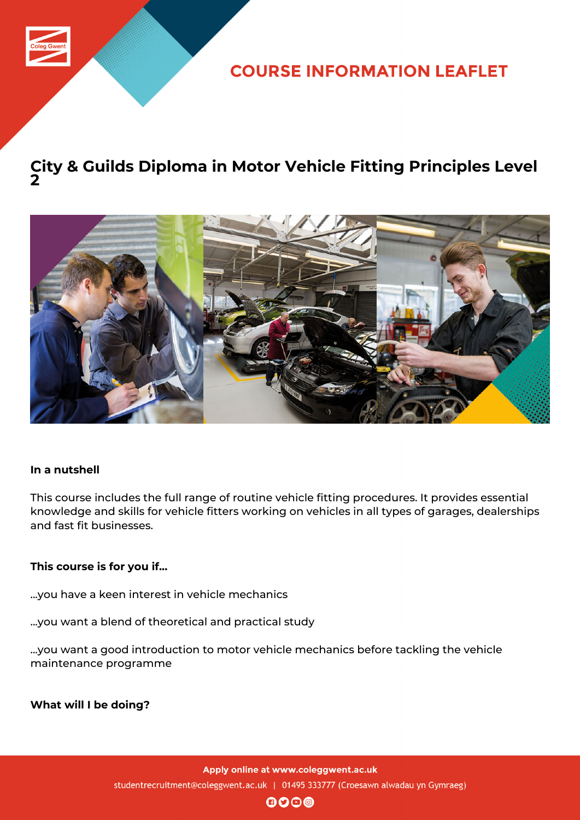

**COURSE INFORMATION LEAFLET** 

## **City & Guilds Diploma in Motor Vehicle Fitting Principles Level 2**



#### **In a nutshell**

This course includes the full range of routine vehicle fitting procedures. It provides essential knowledge and skills for vehicle fitters working on vehicles in all types of garages, dealerships and fast fit businesses.

### **This course is for you if...**

...you have a keen interest in vehicle mechanics

...you want a blend of theoretical and practical study

...you want a good introduction to motor vehicle mechanics before tackling the vehicle maintenance programme

**What will I be doing?**

Apply online at www.coleggwent.ac.uk studentrecruitment@coleggwent.ac.uk | 01495 333777 (Croesawn alwadau yn Gymraeg)

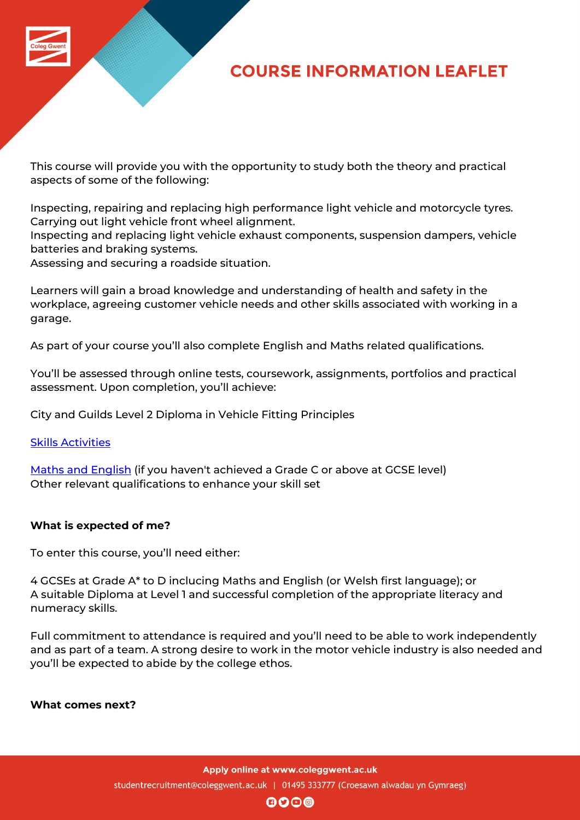

This course will provide you with the opportunity to study both the theory and practical aspects of some of the following:

Inspecting, repairing and replacing high performance light vehicle and motorcycle tyres. Carrying out light vehicle front wheel alignment.

Inspecting and replacing light vehicle exhaust components, suspension dampers, vehicle batteries and braking systems.

Assessing and securing a roadside situation.

Learners will gain a broad knowledge and understanding of health and safety in the workplace, agreeing customer vehicle needs and other skills associated with working in a garage.

As part of your course you'll also complete English and Maths related qualifications.

You'll be assessed through online tests, coursework, assignments, portfolios and practical assessment. Upon completion, you'll achieve:

City and Guilds Level 2 Diploma in Vehicle Fitting Principles

Skills Activities

Maths and English (if you haven't achieved a Grade C or above at GCSE level) [Other relevant](http://www.coleggwent.ac.uk/index.php?option=com_content&view=article&id=117#.WT_IG8s5WUk) qualifications to enhance your skill set

### **[What is expected](http://www.coleggwent.ac.uk/index.php?option=com_content&view=article&id=2314) of me?**

To enter this course, you'll need either:

4 GCSEs at Grade A\* to D inclucing Maths and English (or Welsh first language); or A suitable Diploma at Level 1 and successful completion of the appropriate literacy and numeracy skills.

Full commitment to attendance is required and you'll need to be able to work independently and as part of a team. A strong desire to work in the motor vehicle industry is also needed and you'll be expected to abide by the college ethos.

**What comes next?**

Apply online at www.coleggwent.ac.uk

studentrecruitment@coleggwent.ac.uk | 01495 333777 (Croesawn alwadau yn Gymraeg)